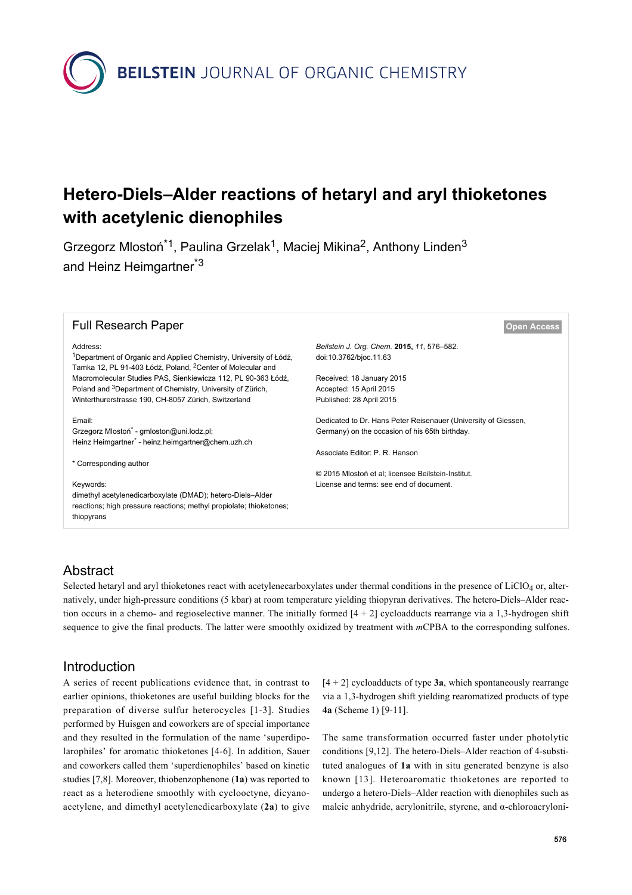**BEILSTEIN** JOURNAL OF ORGANIC CHEMISTRY

# **Hetero-Diels–Alder reactions of hetaryl and aryl thioketones with acetylenic dienophiles**

Grzegorz Mlostoń<sup>\*1</sup>, Paulina Grzelak<sup>1</sup>, Maciej Mikina<sup>2</sup>, Anthony Linden<sup>3</sup> and Heinz Heimgartner<sup>\*3</sup>

| <b>Full Research Paper</b>                                                                                                                              |                                                                |
|---------------------------------------------------------------------------------------------------------------------------------------------------------|----------------------------------------------------------------|
| Address:                                                                                                                                                | Beilstein J. Org. Chem. 2015, 11, 576-582.                     |
| <sup>1</sup> Department of Organic and Applied Chemistry, University of Łódź,<br>Tamka 12, PL 91-403 Łódź, Poland, <sup>2</sup> Center of Molecular and | doi:10.3762/bjoc.11.63                                         |
| Macromolecular Studies PAS, Sienkiewicza 112, PL 90-363 Łódź,                                                                                           | Received: 18 January 2015                                      |
| Poland and <sup>3</sup> Department of Chemistry, University of Zürich,                                                                                  | Accepted: 15 April 2015                                        |
| Winterthurerstrasse 190, CH-8057 Zürich, Switzerland                                                                                                    | Published: 28 April 2015                                       |
| Email:                                                                                                                                                  | Dedicated to Dr. Hans Peter Reisenauer (University of Giessen, |
| Grzegorz Mlostoń <sup>*</sup> - gmloston@uni.lodz.pl;<br>Heinz Heimgartner* - heinz.heimgartner@chem.uzh.ch                                             | Germany) on the occasion of his 65th birthday.                 |
|                                                                                                                                                         | Associate Editor: P. R. Hanson                                 |
| * Corresponding author                                                                                                                                  |                                                                |
|                                                                                                                                                         | © 2015 Mlostoń et al: licensee Beilstein-Institut.             |
| Keywords:                                                                                                                                               | License and terms: see end of document.                        |
| dimethyl acetylenedicarboxylate (DMAD); hetero-Diels-Alder                                                                                              |                                                                |
| reactions; high pressure reactions; methyl propiolate; thioketones;                                                                                     |                                                                |
| thiopyrans                                                                                                                                              |                                                                |
|                                                                                                                                                         |                                                                |

# Abstract

Selected hetaryl and aryl thioketones react with acetylenecarboxylates under thermal conditions in the presence of  $LiClO<sub>4</sub>$  or, alternatively, under high-pressure conditions (5 kbar) at room temperature yielding thiopyran derivatives. The hetero-Diels–Alder reaction occurs in a chemo- and regioselective manner. The initially formed  $[4 + 2]$  cycloadducts rearrange via a 1,3-hydrogen shift sequence to give the final products. The latter were smoothly oxidized by treatment with *m*CPBA to the corresponding sulfones.

### Introduction

A series of recent publications evidence that, in contrast to earlier opinions, thioketones are useful building blocks for the preparation of diverse sulfur heterocycles [\[1-3\]](#page-6-0). Studies performed by Huisgen and coworkers are of special importance and they resulted in the formulation of the name 'superdipolarophiles' for aromatic thioketones [\[4-6\].](#page-6-1) In addition, Sauer and coworkers called them 'superdienophiles' based on kinetic studies [\[7,8\]](#page-6-2). Moreover, thiobenzophenone (**1a**) was reported to react as a heterodiene smoothly with cyclooctyne, dicyanoacetylene, and dimethyl acetylenedicarboxylate (**2a**) to give

 $[4 + 2]$  cycloadducts of type **3a**, which spontaneously rearrange via a 1,3-hydrogen shift yielding rearomatized products of type **4a** [\(Scheme 1\)](#page-1-0) [\[9-11\]](#page-6-3).

The same transformation occurred faster under photolytic conditions [\[9,12\]](#page-6-3). The hetero-Diels–Alder reaction of 4-substituted analogues of **1a** with in situ generated benzyne is also known [\[13\]](#page-6-4). Heteroaromatic thioketones are reported to undergo a hetero-Diels–Alder reaction with dienophiles such as maleic anhydride, acrylonitrile, styrene, and α-chloroacryloni-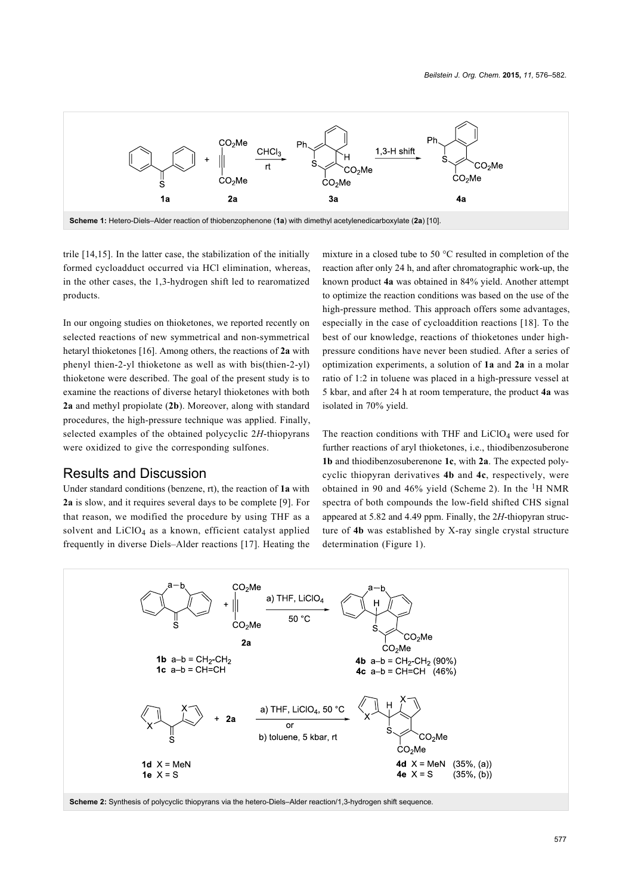<span id="page-1-0"></span>

trile [\[14,15\]](#page-6-6). In the latter case, the stabilization of the initially formed cycloadduct occurred via HCl elimination, whereas, in the other cases, the 1,3-hydrogen shift led to rearomatized products.

In our ongoing studies on thioketones, we reported recently on selected reactions of new symmetrical and non-symmetrical hetaryl thioketones [\[16\].](#page-6-7) Among others, the reactions of **2a** with phenyl thien-2-yl thioketone as well as with bis(thien-2-yl) thioketone were described. The goal of the present study is to examine the reactions of diverse hetaryl thioketones with both **2a** and methyl propiolate (**2b**). Moreover, along with standard procedures, the high-pressure technique was applied. Finally, selected examples of the obtained polycyclic 2*H*-thiopyrans were oxidized to give the corresponding sulfones.

#### Results and Discussion

Under standard conditions (benzene, rt), the reaction of **1a** with **2a** is slow, and it requires several days to be complete [\[9\].](#page-6-3) For that reason, we modified the procedure by using THF as a solvent and  $LiClO<sub>4</sub>$  as a known, efficient catalyst applied frequently in diverse Diels–Alder reactions [\[17\]](#page-6-8). Heating the mixture in a closed tube to 50 °C resulted in completion of the reaction after only 24 h, and after chromatographic work-up, the known product **4a** was obtained in 84% yield. Another attempt to optimize the reaction conditions was based on the use of the high-pressure method. This approach offers some advantages, especially in the case of cycloaddition reactions [\[18\]](#page-6-9). To the best of our knowledge, reactions of thioketones under highpressure conditions have never been studied. After a series of optimization experiments, a solution of **1a** and **2a** in a molar ratio of 1:2 in toluene was placed in a high-pressure vessel at 5 kbar, and after 24 h at room temperature, the product **4a** was isolated in 70% yield.

The reaction conditions with THF and  $LiClO<sub>4</sub>$  were used for further reactions of aryl thioketones, i.e., thiodibenzosuberone **1b** and thiodibenzosuberenone **1c**, with **2a**. The expected polycyclic thiopyran derivatives **4b** and **4c**, respectively, were obtained in 90 and 46% yield [\(Scheme 2\)](#page-1-1). In the  ${}^{1}H$  NMR spectra of both compounds the low-field shifted CHS signal appeared at 5.82 and 4.49 ppm. Finally, the 2*H*-thiopyran structure of **4b** was established by X-ray single crystal structure determination ([Figure 1](#page-2-0)).

<span id="page-1-1"></span>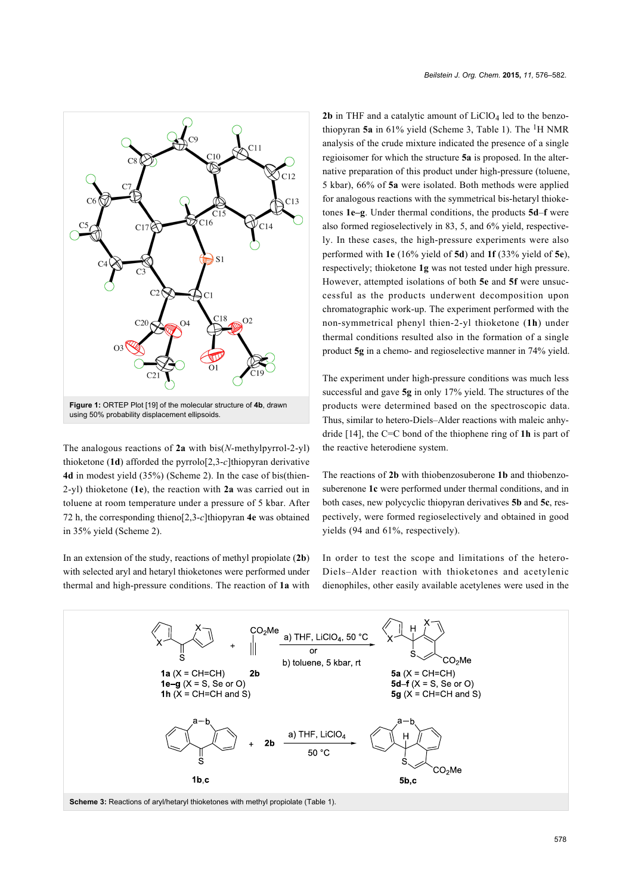<span id="page-2-0"></span>

The analogous reactions of **2a** with bis(*N*-methylpyrrol-2-yl) thioketone (**1d**) afforded the pyrrolo[2,3-*c*]thiopyran derivative **4d** in modest yield (35%) ([Scheme 2\)](#page-1-1). In the case of bis(thien-2-yl) thioketone (**1e**), the reaction with **2a** was carried out in toluene at room temperature under a pressure of 5 kbar. After 72 h, the corresponding thieno[2,3-*c*]thiopyran **4e** was obtained in 35% yield ([Scheme 2](#page-1-1)).

In an extension of the study, reactions of methyl propiolate (**2b**) with selected aryl and hetaryl thioketones were performed under thermal and high-pressure conditions. The reaction of **1a** with

**2b** in THF and a catalytic amount of  $LiClO<sub>4</sub>$  led to the benzo-thiopyran 5a in 61% yield [\(Scheme 3](#page-2-1), [Table 1\)](#page-3-0). The <sup>1</sup>H NMR analysis of the crude mixture indicated the presence of a single regioisomer for which the structure **5a** is proposed. In the alternative preparation of this product under high-pressure (toluene, 5 kbar), 66% of **5a** were isolated. Both methods were applied for analogous reactions with the symmetrical bis-hetaryl thioketones **1e–g**. Under thermal conditions, the products **5d**–**f** were also formed regioselectively in 83, 5, and 6% yield, respectively. In these cases, the high-pressure experiments were also performed with **1e** (16% yield of **5d**) and **1f** (33% yield of **5e**), respectively; thioketone **1g** was not tested under high pressure. However, attempted isolations of both **5e** and **5f** were unsuccessful as the products underwent decomposition upon chromatographic work-up. The experiment performed with the non-symmetrical phenyl thien-2-yl thioketone (**1h**) under thermal conditions resulted also in the formation of a single product **5g** in a chemo- and regioselective manner in 74% yield.

The experiment under high-pressure conditions was much less successful and gave **5g** in only 17% yield. The structures of the products were determined based on the spectroscopic data. Thus, similar to hetero-Diels–Alder reactions with maleic anhydride [\[14\]](#page-6-6), the C=C bond of the thiophene ring of **1h** is part of the reactive heterodiene system.

The reactions of **2b** with thiobenzosuberone **1b** and thiobenzosuberenone **1c** were performed under thermal conditions, and in both cases, new polycyclic thiopyran derivatives **5b** and **5c**, respectively, were formed regioselectively and obtained in good yields (94 and 61%, respectively).

In order to test the scope and limitations of the hetero-Diels–Alder reaction with thioketones and acetylenic dienophiles, other easily available acetylenes were used in the

<span id="page-2-1"></span>

**Scheme 3: Reactions of aryl/hetaryl thioketones with methyl propiolate [\(Table 1](#page-3-0))**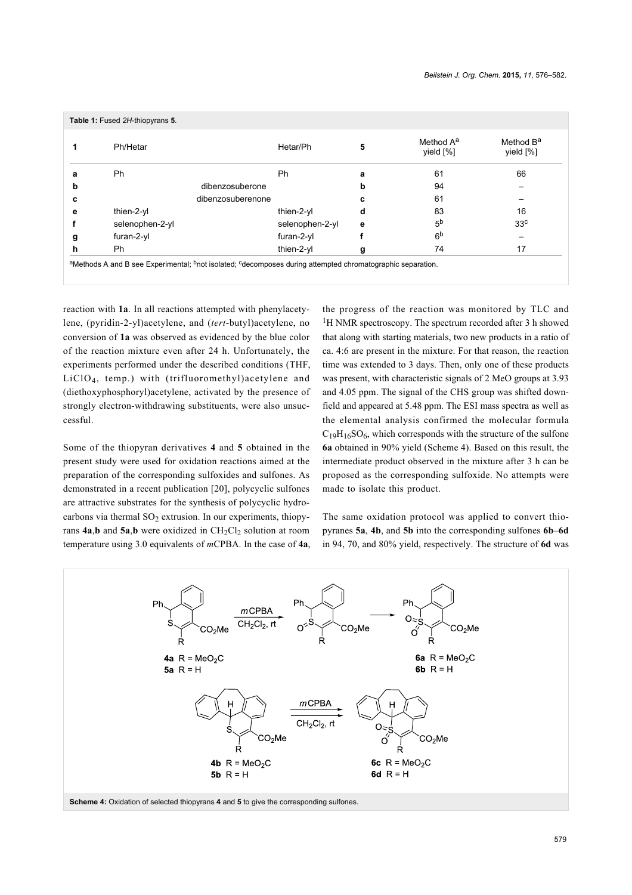<span id="page-3-0"></span>

|   | Ph/Hetar        | Hetar/Ph          | 5 | Method A <sup>a</sup><br>yield [%] | Method B <sup>a</sup><br>yield [%] |
|---|-----------------|-------------------|---|------------------------------------|------------------------------------|
|   | Ph              | <b>Ph</b>         | a | 61                                 | 66                                 |
| b |                 | dibenzosuberone   | b | 94                                 |                                    |
|   |                 | dibenzosuberenone |   | 61                                 |                                    |
| е | thien-2-yl      | thien-2-yl        | d | 83                                 | 16                                 |
|   | selenophen-2-yl | selenophen-2-yl   | е | 5 <sup>b</sup>                     | 33 <sup>c</sup>                    |
| g | furan-2-yl      | furan-2-yl        |   | 6 <sup>b</sup>                     |                                    |
| h | Ph              | thien-2-yl        | g | 74                                 | 17                                 |

reaction with **1a**. In all reactions attempted with phenylacetylene, (pyridin-2-yl)acetylene, and (*tert*-butyl)acetylene, no conversion of **1a** was observed as evidenced by the blue color of the reaction mixture even after 24 h. Unfortunately, the experiments performed under the described conditions (THF, LiClO4, temp.) with (trifluoromethyl)acetylene and (diethoxyphosphoryl)acetylene, activated by the presence of strongly electron-withdrawing substituents, were also unsuccessful.

Some of the thiopyran derivatives **4** and **5** obtained in the present study were used for oxidation reactions aimed at the preparation of the corresponding sulfoxides and sulfones. As demonstrated in a recent publication [\[20\]](#page-6-11), polycyclic sulfones are attractive substrates for the synthesis of polycyclic hydrocarbons via thermal  $SO_2$  extrusion. In our experiments, thiopyrans  $4a$ ,**b** and  $5a$ ,**b** were oxidized in CH<sub>2</sub>Cl<sub>2</sub> solution at room temperature using 3.0 equivalents of *m*CPBA. In the case of **4a**, the progress of the reaction was monitored by TLC and <sup>1</sup>H NMR spectroscopy. The spectrum recorded after 3 h showed that along with starting materials, two new products in a ratio of ca. 4:6 are present in the mixture. For that reason, the reaction time was extended to 3 days. Then, only one of these products was present, with characteristic signals of 2 MeO groups at 3.93 and 4.05 ppm. The signal of the CHS group was shifted downfield and appeared at 5.48 ppm. The ESI mass spectra as well as the elemental analysis confirmed the molecular formula  $C_{19}H_{16}SO_6$ , which corresponds with the structure of the sulfone **6a** obtained in 90% yield ([Scheme 4](#page-3-1)). Based on this result, the intermediate product observed in the mixture after 3 h can be proposed as the corresponding sulfoxide. No attempts were made to isolate this product.

The same oxidation protocol was applied to convert thiopyranes **5a**, **4b**, and **5b** into the corresponding sulfones **6b**–**6d** in 94, 70, and 80% yield, respectively. The structure of **6d** was

<span id="page-3-1"></span>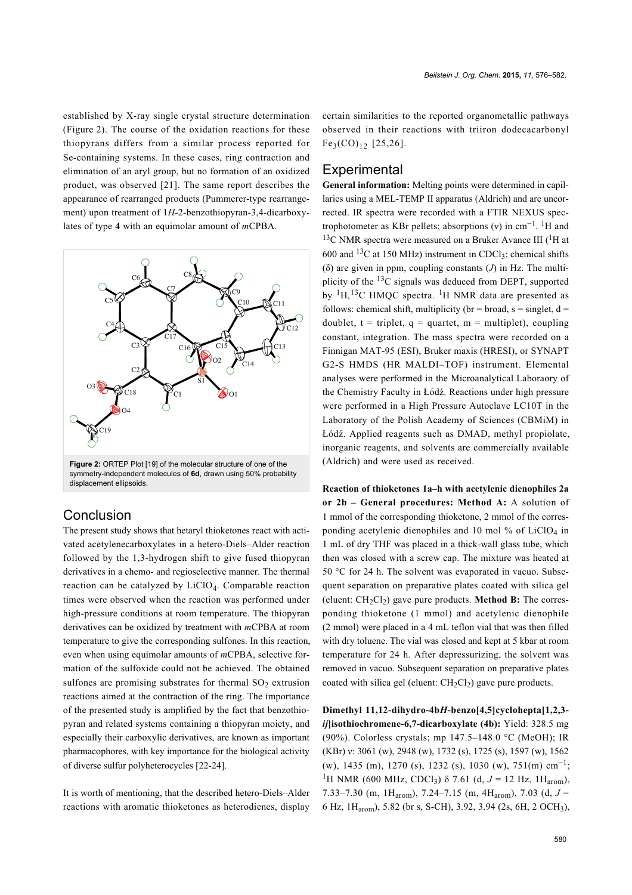established by X-ray single crystal structure determination ([Figure 2](#page-4-0)). The course of the oxidation reactions for these thiopyrans differs from a similar process reported for Se-containing systems. In these cases, ring contraction and elimination of an aryl group, but no formation of an oxidized product, was observed [\[21\]](#page-6-12). The same report describes the appearance of rearranged products (Pummerer-type rearrangement) upon treatment of 1*H*-2-benzothiopyran-3,4-dicarboxylates of type **4** with an equimolar amount of *m*CPBA.

<span id="page-4-0"></span>

# **Conclusion**

The present study shows that hetaryl thioketones react with activated acetylenecarboxylates in a hetero-Diels–Alder reaction followed by the 1,3-hydrogen shift to give fused thiopyran derivatives in a chemo- and regioselective manner. The thermal reaction can be catalyzed by LiClO4. Comparable reaction times were observed when the reaction was performed under high-pressure conditions at room temperature. The thiopyran derivatives can be oxidized by treatment with *m*CPBA at room temperature to give the corresponding sulfones. In this reaction, even when using equimolar amounts of *m*CPBA, selective formation of the sulfoxide could not be achieved. The obtained sulfones are promising substrates for thermal  $SO_2$  extrusion reactions aimed at the contraction of the ring. The importance of the presented study is amplified by the fact that benzothiopyran and related systems containing a thiopyran moiety, and especially their carboxylic derivatives, are known as important pharmacophores, with key importance for the biological activity of diverse sulfur polyheterocycles [\[22-24\]](#page-6-13).

It is worth of mentioning, that the described hetero-Diels–Alder reactions with aromatic thioketones as heterodienes, display

certain similarities to the reported organometallic pathways observed in their reactions with triiron dodecacarbonyl  $Fe<sub>3</sub>(CO)<sub>12</sub>$  [\[25,26\]](#page-6-14).

### **Experimental**

**General information:** Melting points were determined in capillaries using a MEL-TEMP II apparatus (Aldrich) and are uncorrected. IR spectra were recorded with a FTIR NEXUS spectrophotometer as KBr pellets; absorptions (v) in  $cm^{-1}$ . <sup>1</sup>H and  $13<sup>C</sup>$  NMR spectra were measured on a Bruker Avance III ( $^{1}$ H at 600 and  $^{13}$ C at 150 MHz) instrument in CDCl<sub>3</sub>; chemical shifts (δ) are given in ppm, coupling constants (*J*) in Hz. The multiplicity of the  $^{13}$ C signals was deduced from DEPT, supported by  ${}^{1}H, {}^{13}C$  HMOC spectra. <sup>1</sup>H NMR data are presented as follows: chemical shift, multiplicity (br = broad, s = singlet,  $d =$ doublet,  $t = triplet$ ,  $q = quartet$ ,  $m = multiplet$ ), coupling constant, integration. The mass spectra were recorded on a Finnigan MAT-95 (ESI), Bruker maxis (HRESI), or SYNAPT G2-S HMDS (HR MALDI–TOF) instrument. Elemental analyses were performed in the Microanalytical Laboraory of the Chemistry Faculty in Łódź. Reactions under high pressure were performed in a High Pressure Autoclave LC10T in the Laboratory of the Polish Academy of Sciences (CBMiM) in Łódź. Applied reagents such as DMAD, methyl propiolate, inorganic reagents, and solvents are commercially available (Aldrich) and were used as received.

**Reaction of thioketones 1a–h with acetylenic dienophiles 2a or 2b – General procedures: Method A:** A solution of 1 mmol of the corresponding thioketone, 2 mmol of the corresponding acetylenic dienophiles and 10 mol % of  $LiClO<sub>4</sub>$  in 1 mL of dry THF was placed in a thick-wall glass tube, which then was closed with a screw cap. The mixture was heated at 50 °C for 24 h. The solvent was evaporated in vacuo. Subsequent separation on preparative plates coated with silica gel (eluent:  $CH<sub>2</sub>Cl<sub>2</sub>$ ) gave pure products. **Method B:** The corresponding thioketone (1 mmol) and acetylenic dienophile (2 mmol) were placed in a 4 mL teflon vial that was then filled with dry toluene. The vial was closed and kept at 5 kbar at room temperature for 24 h. After depressurizing, the solvent was removed in vacuo. Subsequent separation on preparative plates coated with silica gel (eluent:  $CH_2Cl_2$ ) gave pure products.

**Dimethyl 11,12-dihydro-4b***H***-benzo[4,5]cyclohepta[1,2,3** *ij***]isothiochromene-6,7-dicarboxylate (4b):** Yield: 328.5 mg (90%). Colorless crystals; mp 147.5–148.0 °C (MeOH); IR (KBr) ν: 3061 (w), 2948 (w), 1732 (s), 1725 (s), 1597 (w), 1562 (w), 1435 (m), 1270 (s), 1232 (s), 1030 (w), 751(m)  $cm^{-1}$ ; <sup>1</sup>H NMR (600 MHz, CDCl<sub>3</sub>) δ 7.61 (d,  $J = 12$  Hz, 1H<sub>arom</sub>), 7.33–7.30 (m, 1H<sub>arom</sub>), 7.24–7.15 (m, 4H<sub>arom</sub>), 7.03 (d,  $J =$ 6 Hz, 1Harom), 5.82 (br s, S-CH), 3.92, 3.94 (2s, 6H, 2 OCH<sup>3</sup> ),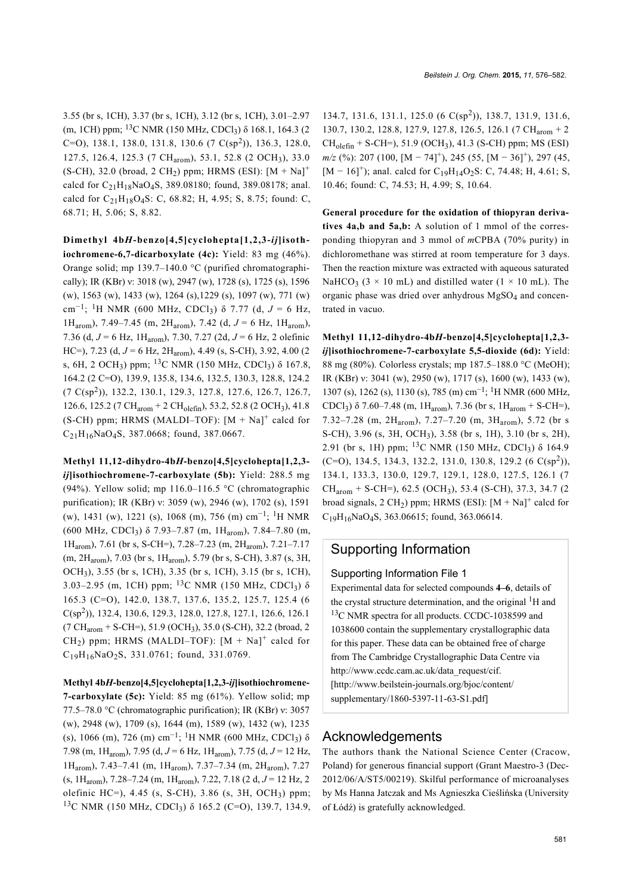3.55 (br s, 1CH), 3.37 (br s, 1CH), 3.12 (br s, 1CH), 3.01–2.97 (m, 1CH) ppm;  $^{13}$ C NMR (150 MHz, CDCl<sub>3</sub>)  $\delta$  168.1, 164.3 (2)  $(C=O)$ , 138.1, 138.0, 131.8, 130.6 (7  $C(sp^2)$ ), 136.3, 128.0, 127.5, 126.4, 125.3 (7 CHarom), 53.1, 52.8 (2 OCH3), 33.0 (S-CH), 32.0 (broad, 2 CH<sub>2</sub>) ppm; HRMS (ESI):  $[M + Na]$ <sup>+</sup> calcd for  $C_{21}H_{18}NaO_4S$ , 389.08180; found, 389.08178; anal. calcd for  $C_{21}H_{18}O_4S$ : C, 68.82; H, 4.95; S, 8.75; found: C, 68.71; H, 5.06; S, 8.82.

**Dimethyl 4b***H***-benzo[4,5]cyclohepta[1,2,3-***ij***]isothiochromene-6,7-dicarboxylate (4c):** Yield: 83 mg (46%). Orange solid; mp 139.7–140.0 °C (purified chromatographically); IR (KBr) ν: 3018 (w), 2947 (w), 1728 (s), 1725 (s), 1596 (w), 1563 (w), 1433 (w), 1264 (s),1229 (s), 1097 (w), 771 (w) cm−<sup>1</sup> ; 1H NMR (600 MHz, CDCl3) δ 7.77 (d, *J* = 6 Hz, 1Harom), 7.49–7.45 (m, 2Harom), 7.42 (d, *J* = 6 Hz, 1Harom), 7.36 (d, *J* = 6 Hz, 1Harom), 7.30, 7.27 (2d, *J* = 6 Hz, 2 olefinic HC=), 7.23 (d, *J* = 6 Hz, 2Harom), 4.49 (s, S-CH), 3.92, 4.00 (2 s, 6H, 2 OCH<sub>3</sub>) ppm; <sup>13</sup>C NMR (150 MHz, CDCl<sub>3</sub>) δ 167.8, 164.2 (2 C=O), 139.9, 135.8, 134.6, 132.5, 130.3, 128.8, 124.2 (7 C(sp<sup>2</sup> )), 132.2, 130.1, 129.3, 127.8, 127.6, 126.7, 126.7, 126.6, 125.2 (7 CHarom + 2 CHolefin), 53.2, 52.8 (2 OCH3), 41.8  $(S-CH)$  ppm; HRMS (MALDI-TOF):  $[M + Na]$ <sup>+</sup> calcd for C21H16NaO4S, 387.0668; found, 387.0667.

**Methyl 11,12-dihydro-4b***H***-benzo[4,5]cyclohepta[1,2,3** *ij***]isothiochromene-7-carboxylate (5b):** Yield: 288.5 mg (94%). Yellow solid; mp  $116.0-116.5$  °C (chromatographic purification); IR (KBr) ν: 3059 (w), 2946 (w), 1702 (s), 1591 (w), 1431 (w), 1221 (s), 1068 (m), 756 (m) cm−<sup>1</sup> ; 1H NMR (600 MHz, CDCl<sub>3</sub>)  $\delta$  7.93–7.87 (m, 1H<sub>arom</sub>), 7.84–7.80 (m, 1Harom), 7.61 (br s, S-CH=), 7.28–7.23 (m, 2Harom), 7.21–7.17 (m, 2Harom), 7.03 (br s, 1Harom), 5.79 (br s, S-CH), 3.87 (s, 3H, OCH3), 3.55 (br s, 1CH), 3.35 (br s, 1CH), 3.15 (br s, 1CH), 3.03–2.95 (m, 1CH) ppm; <sup>13</sup>C NMR (150 MHz, CDCl<sub>3</sub>) δ 165.3 (C=O), 142.0, 138.7, 137.6, 135.2, 125.7, 125.4 (6 C(sp<sup>2</sup> )), 132.4, 130.6, 129.3, 128.0, 127.8, 127.1, 126.6, 126.1 (7 CH<sub>arom</sub> + S-CH=), 51.9 (OCH<sub>3</sub>), 35.0 (S-CH), 32.2 (broad, 2  $CH<sub>2</sub>$ ) ppm; HRMS (MALDI-TOF):  $[M + Na]$ <sup>+</sup> calcd for C19H16NaO2S, 331.0761; found, 331.0769.

**Methyl 4b***H***-benzo[4,5]cyclohepta[1,2,3-***ij***]isothiochromene-7-carboxylate (5c):** Yield: 85 mg (61%). Yellow solid; mp 77.5–78.0 °C (chromatographic purification); IR (KBr) ν: 3057 (w), 2948 (w), 1709 (s), 1644 (m), 1589 (w), 1432 (w), 1235 (s), 1066 (m), 726 (m) cm−<sup>1</sup> ; 1H NMR (600 MHz, CDCl<sup>3</sup> ) δ 7.98 (m, 1Harom), 7.95 (d, *J* = 6 Hz, 1Harom), 7.75 (d, *J* = 12 Hz, 1Harom), 7.43–7.41 (m, 1Harom), 7.37–7.34 (m, 2Harom), 7.27 (s, 1Harom), 7.28–7.24 (m, 1Harom), 7.22, 7.18 (2 d, *J* = 12 Hz, 2 olefinic HC=), 4.45 (s, S-CH), 3.86 (s, 3H, OCH<sup>3</sup> ) ppm; <sup>13</sup>C NMR (150 MHz, CDCl<sub>3</sub>) δ 165.2 (C=O), 139.7, 134.9,

*Beilstein J. Org. Chem.* **2015,** *11,* 576–582.

134.7, 131.6, 131.1, 125.0 (6 C(sp<sup>2</sup> )), 138.7, 131.9, 131.6, 130.7, 130.2, 128.8, 127.9, 127.8, 126.5, 126.1 (7 CHarom + 2  $CH<sub>olefin</sub> + S-CH=$ ), 51.9 (OCH<sub>3</sub>), 41.3 (S-CH) ppm; MS (ESI) *m/z* (%): 207 (100, [M − 74]<sup>+</sup>), 245 (55, [M − 36]<sup>+</sup>), 297 (45, [M – 16]<sup>+</sup>); anal. calcd for C<sub>19</sub>H<sub>14</sub>O<sub>2</sub>S: C, 74.48; H, 4.61; S, 10.46; found: C, 74.53; H, 4.99; S, 10.64.

**General procedure for the oxidation of thiopyran derivatives 4a,b and 5a,b:** A solution of 1 mmol of the corresponding thiopyran and 3 mmol of *m*CPBA (70% purity) in dichloromethane was stirred at room temperature for 3 days. Then the reaction mixture was extracted with aqueous saturated NaHCO<sub>3</sub> ( $3 \times 10$  mL) and distilled water ( $1 \times 10$  mL). The organic phase was dried over anhydrous MgSO4 and concentrated in vacuo.

**Methyl 11,12-dihydro-4b***H***-benzo[4,5]cyclohepta[1,2,3** *ij***]isothiochromene-7-carboxylate 5,5-dioxide (6d):** Yield: 88 mg (80%). Colorless crystals; mp 187.5–188.0 °C (MeOH); IR (KBr) ν: 3041 (w), 2950 (w), 1717 (s), 1600 (w), 1433 (w), 1307 (s), 1262 (s), 1130 (s), 785 (m) cm−<sup>1</sup> ; 1H NMR (600 MHz, CDCl<sub>3</sub>)  $\delta$  7.60–7.48 (m, 1H<sub>arom</sub>), 7.36 (br s, 1H<sub>arom</sub> + S-CH=), 7.32–7.28 (m, 2Harom), 7.27–7.20 (m, 3Harom), 5.72 (br s S-CH), 3.96 (s, 3H, OCH3), 3.58 (br s, 1H), 3.10 (br s, 2H), 2.91 (br s, 1H) ppm; <sup>13</sup>C NMR (150 MHz, CDCl<sub>3</sub>) δ 164.9  $(C=0)$ , 134.5, 134.3, 132.2, 131.0, 130.8, 129.2 (6  $C(sp^2)$ ), 134.1, 133.3, 130.0, 129.7, 129.1, 128.0, 127.5, 126.1 (7  $CH_{arom}$  + S-CH=), 62.5 (OCH<sub>3</sub>), 53.4 (S-CH), 37.3, 34.7 (2) broad signals,  $2 \text{ CH}_2$ ) ppm; HRMS (ESI):  $[M + Na]$ <sup>+</sup> calcd for  $C_{19}H_{16}NaO_4S$ , 363.06615; found, 363.06614.

# Supporting Information

#### Supporting Information File 1

Experimental data for selected compounds **4–6**, details of the crystal structure determination, and the original  ${}^{1}H$  and <sup>13</sup>C NMR spectra for all products. CCDC-1038599 and 1038600 contain the supplementary crystallographic data for this paper. These data can be obtained free of charge from The Cambridge Crystallographic Data Centre via [http://www.ccdc.cam.ac.uk/data\\_request/cif.](http://www.ccdc.cam.ac.uk/data_request/cif) [\[http://www.beilstein-journals.org/bjoc/content/](http://www.beilstein-journals.org/bjoc/content/supplementary/1860-5397-11-63-S1.pdf) [supplementary/1860-5397-11-63-S1.pdf\]](http://www.beilstein-journals.org/bjoc/content/supplementary/1860-5397-11-63-S1.pdf)

### Acknowledgements

The authors thank the National Science Center (Cracow, Poland) for generous financial support (Grant Maestro-3 (Dec-2012/06/A/ST5/00219). Skilful performance of microanalyses by Ms Hanna Jatczak and Ms Agnieszka Cieślińska (University of Łódź) is gratefully acknowledged.